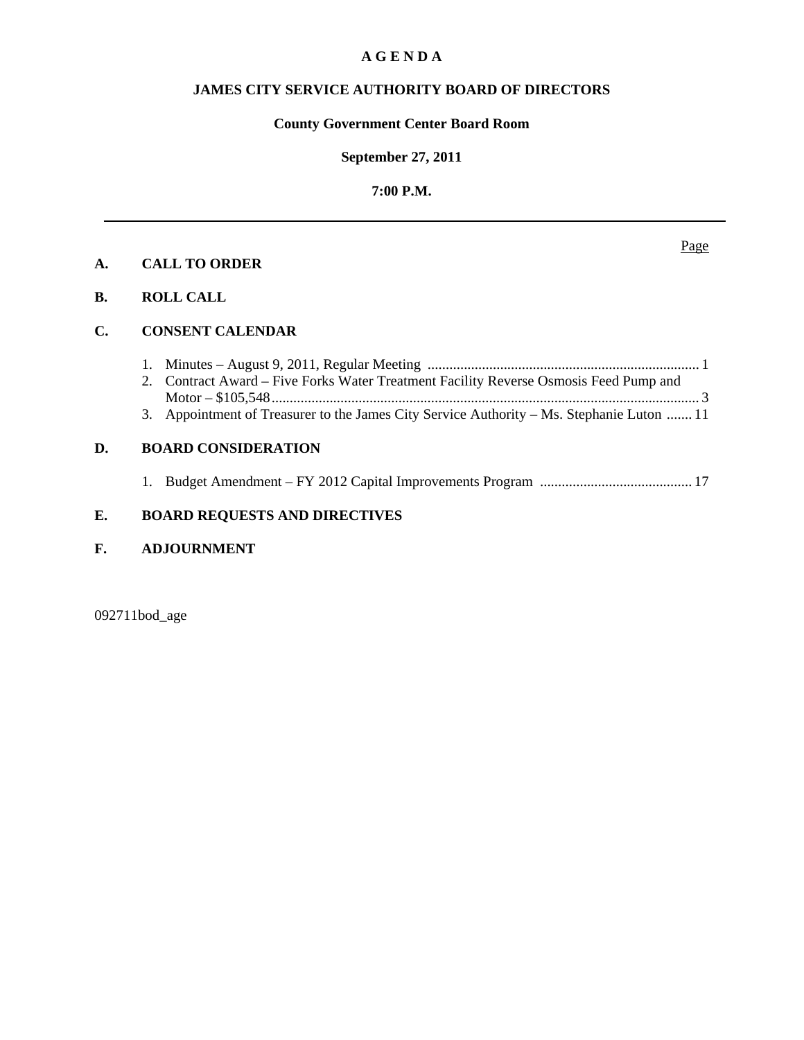## **A G E N D A**

# **JAMES CITY SERVICE AUTHORITY BOARD OF DIRECTORS**

# **County Government Center Board Room**

#### **September 27, 2011**

# **7:00 P.M.**

# **A. CALL TO ORDER**

# **B. ROLL CALL**

#### **C. CONSENT CALENDAR**

| 2. Contract Award – Five Forks Water Treatment Facility Reverse Osmosis Feed Pump and     |
|-------------------------------------------------------------------------------------------|
|                                                                                           |
| 3. Appointment of Treasurer to the James City Service Authority – Ms. Stephanie Luton  11 |

#### **D. BOARD CONSIDERATION**

1. Budget Amendment – FY 2012 Capital Improvements Program .......................................... 17

# **E. BOARD REQUESTS AND DIRECTIVES**

# **F. ADJOURNMENT**

092711bod\_age

Page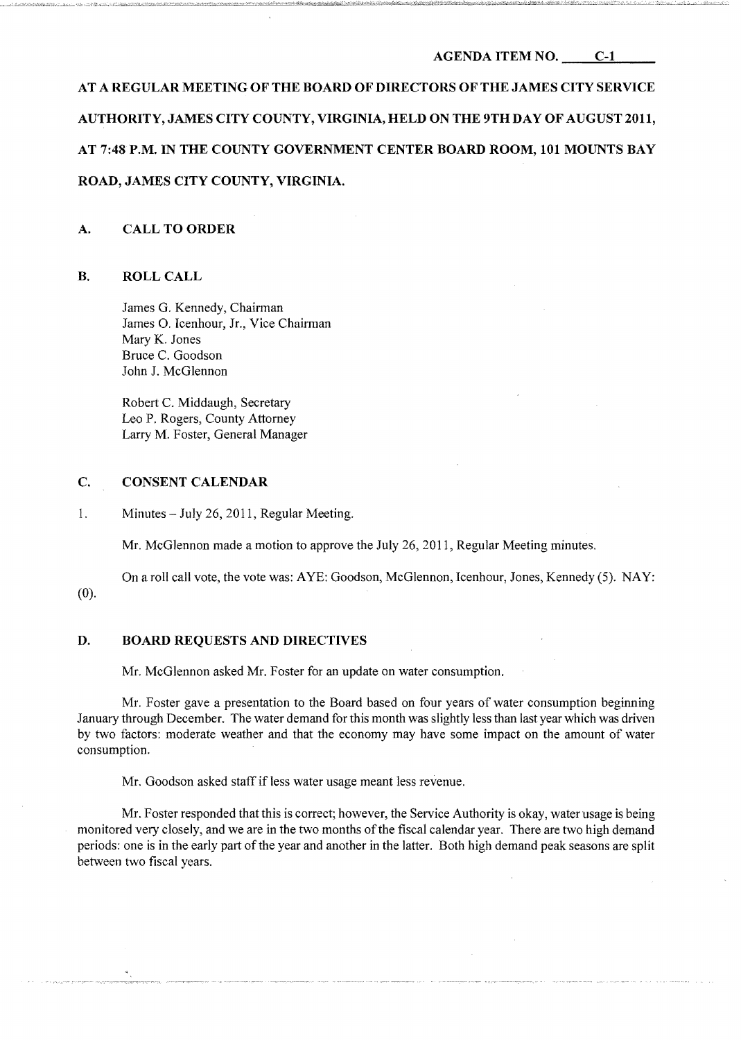#### AGENDA ITEM NO. C-l

AT A REGULAR MEETING OF THE BOARD OF DIRECTORS OF THE JAMES CITY SERVICE AUTHORITY, JAMES CITY COUNTY, VIRGINIA, HELD ON THE 9TH DAY OF AUGUST 2011, AT 7:48 P.M. IN THE COUNTY GOVERNMENT CENTER BOARD ROOM, 101 MOUNTS BAY ROAD, JAMES CITY COUNTY, VIRGINIA.

#### A. CALL TO ORDER

#### B. ROLLCALL

James G. Kennedy, Chairman James O. Icenhour, Jr., Vice Chairman Mary K. Jones Bruce C. Goodson John J. McGlennon

Robert C. Middaugh, Secretary Leo P. Rogers, County Attorney Larry M. Foster, General Manager

#### C. CONSENT CALENDAR

1. Minutes - July 26, 2011, Regular Meeting.

Mr. McGlennon made a motion to approve the July 26,2011, Regular Meeting minutes.

On a roll call vote, the vote was: AYE: Goodson, McGlennon, Icenhour, Jones, Kennedy (5). NAY: (0).

#### D. BOARD REQUESTS AND DIRECTIVES

Mr. McGlennon asked Mr. Foster for an update on water consumption.

Mr. Foster gave a presentation to the Board based on four years of water consumption beginning January through December. The water demand for this month was slightly less than last year which was driven by two factors: moderate weather and that the economy may have some impact on the amount of water consumption.

Mr. Goodson asked staff if less water usage meant less revenue.

Mr. Foster responded that this is correct; however, the Service Authority is okay, water usage is being monitored very closely, and we are in the two months of the fiscal calendar year. There are two high demand periods: one is in the early part of the year and another in the latter. Both high demand peak seasons are split between two fiscal years.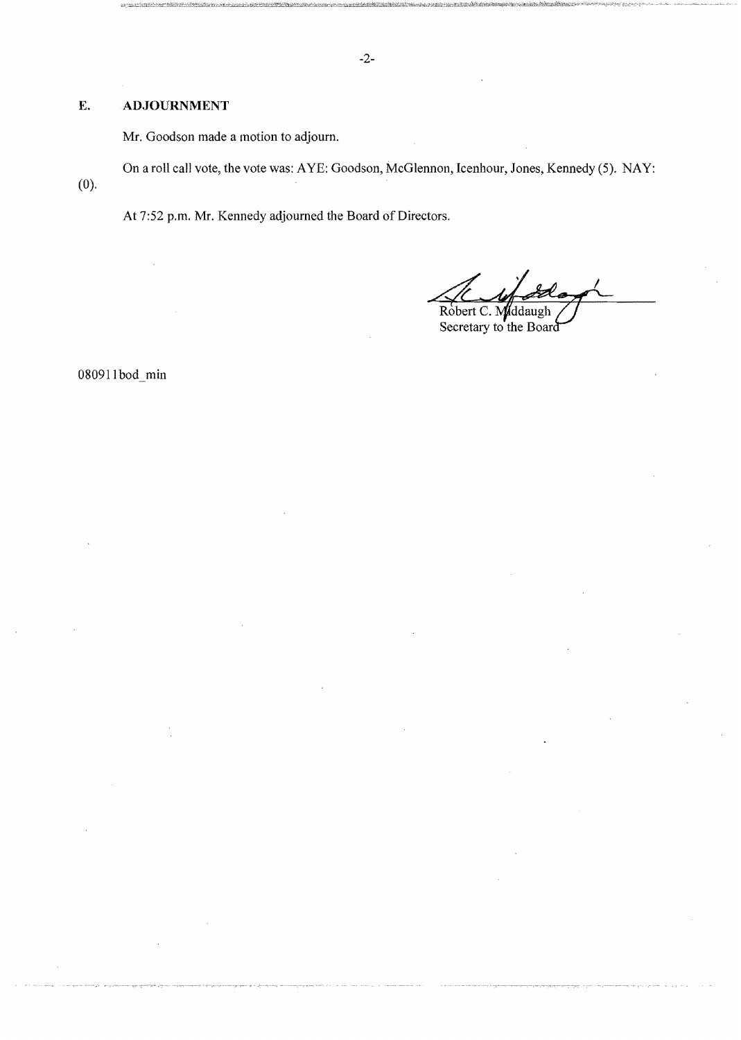# E. **ADJOURNMENT**

Mr. Goodson made a motion to adjourn.

On a roll call vote, the vote was: AYE: Goodson, McGlennon, Icenhour, Jones, Kennedy (5). NAY: (0).

At 7:52 p.m. Mr. Kennedy adjourned the Board of Directors.

Robert C. Middaugh

Secretary to the Board

080911bod\_min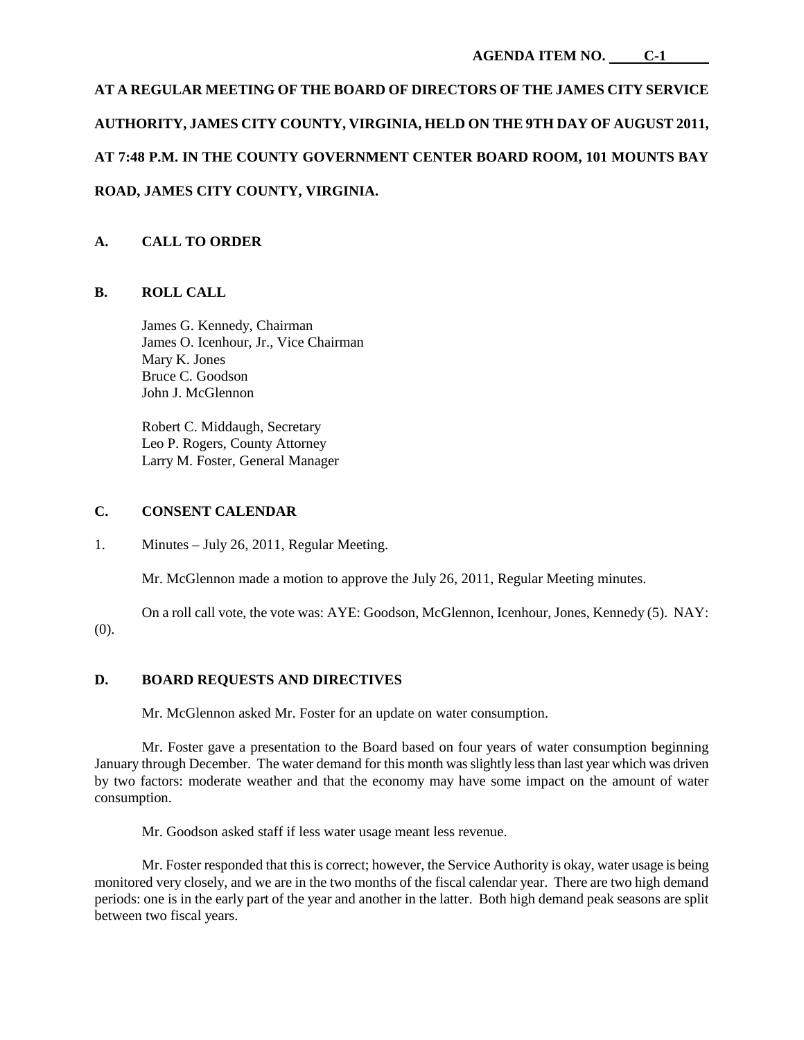# **AT A REGULAR MEETING OF THE BOARD OF DIRECTORS OF THE JAMES CITY SERVICE AUTHORITY, JAMES CITY COUNTY, VIRGINIA, HELD ON THE 9TH DAY OF AUGUST 2011, AT 7:48 P.M. IN THE COUNTY GOVERNMENT CENTER BOARD ROOM, 101 MOUNTS BAY ROAD, JAMES CITY COUNTY, VIRGINIA.**

# **A. CALL TO ORDER**

# **B. ROLL CALL**

James G. Kennedy, Chairman James O. Icenhour, Jr., Vice Chairman Mary K. Jones Bruce C. Goodson John J. McGlennon

Robert C. Middaugh, Secretary Leo P. Rogers, County Attorney Larry M. Foster, General Manager

#### **C. CONSENT CALENDAR**

1. Minutes – July 26, 2011, Regular Meeting.

Mr. McGlennon made a motion to approve the July 26, 2011, Regular Meeting minutes.

On a roll call vote, the vote was: AYE: Goodson, McGlennon, Icenhour, Jones, Kennedy (5). NAY: (0).

## **D. BOARD REQUESTS AND DIRECTIVES**

Mr. McGlennon asked Mr. Foster for an update on water consumption.

Mr. Foster gave a presentation to the Board based on four years of water consumption beginning January through December. The water demand for this month was slightly less than last year which was driven by two factors: moderate weather and that the economy may have some impact on the amount of water consumption.

Mr. Goodson asked staff if less water usage meant less revenue.

Mr. Foster responded that this is correct; however, the Service Authority is okay, water usage is being monitored very closely, and we are in the two months of the fiscal calendar year. There are two high demand periods: one is in the early part of the year and another in the latter. Both high demand peak seasons are split between two fiscal years.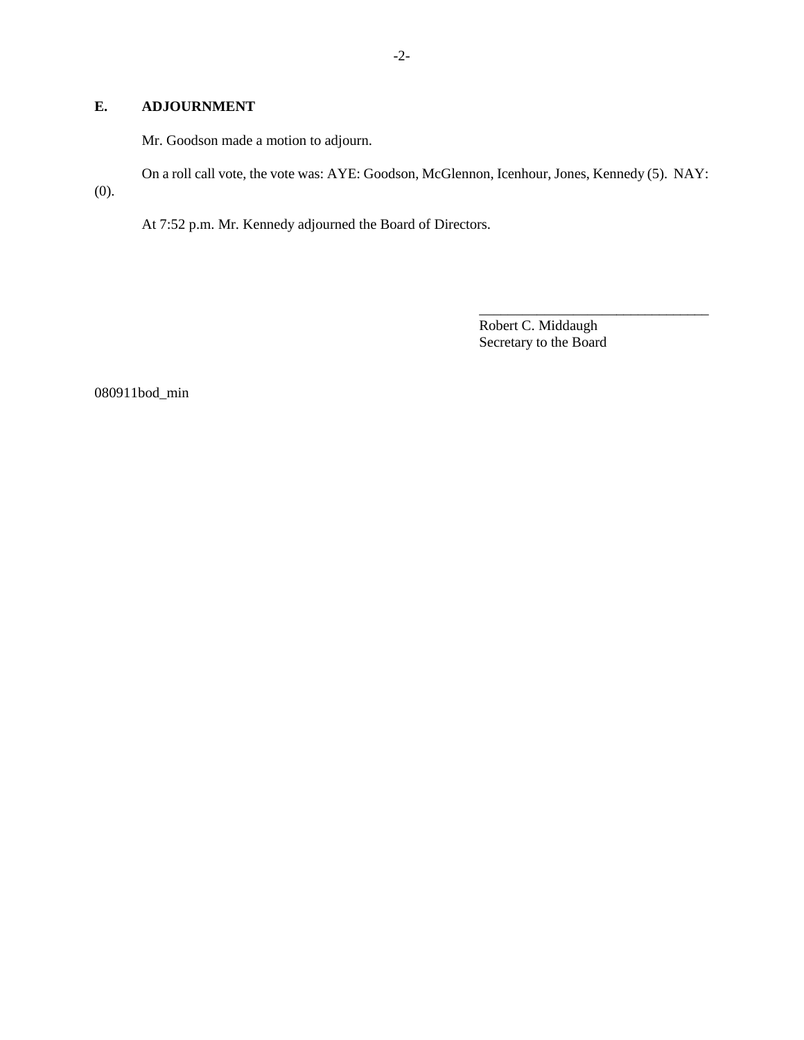# **E. ADJOURNMENT**

Mr. Goodson made a motion to adjourn.

On a roll call vote, the vote was: AYE: Goodson, McGlennon, Icenhour, Jones, Kennedy (5). NAY: (0).

At 7:52 p.m. Mr. Kennedy adjourned the Board of Directors.

Robert C. Middaugh Secretary to the Board

\_\_\_\_\_\_\_\_\_\_\_\_\_\_\_\_\_\_\_\_\_\_\_\_\_\_\_\_\_\_\_\_

080911bod\_min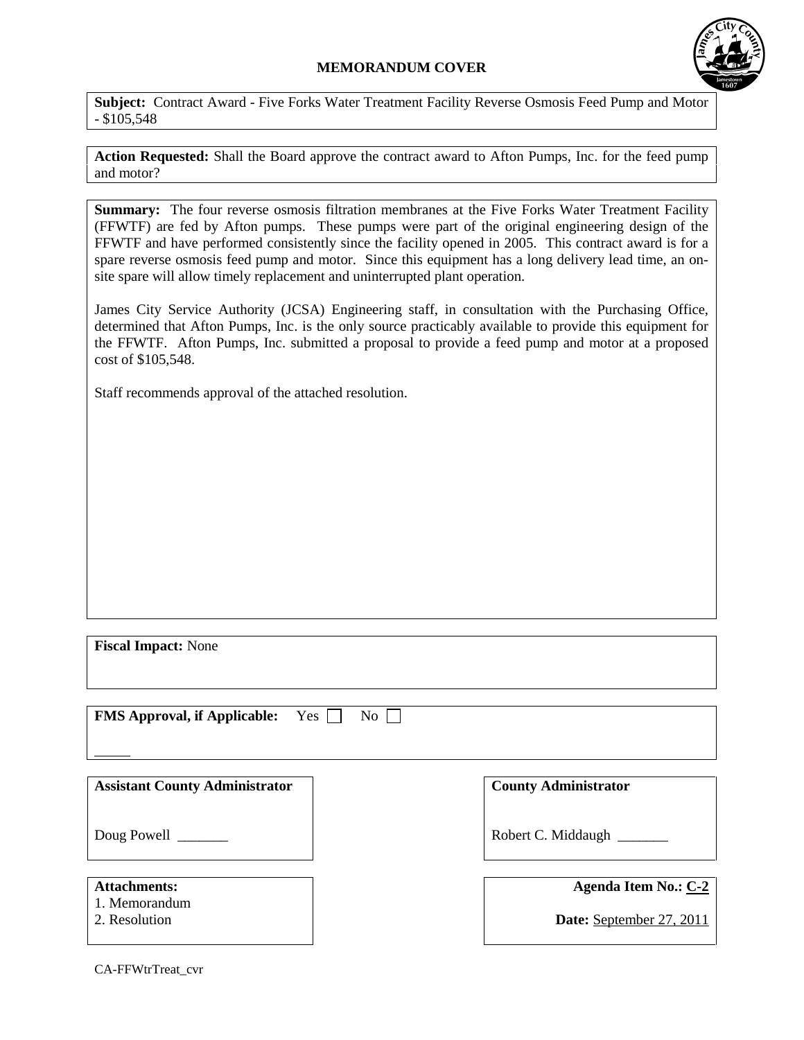## **MEMORANDUM COVER**



**Subject:** Contract Award - Five Forks Water Treatment Facility Reverse Osmosis Feed Pump and Motor  $-$  \$105,548

**Action Requested:** Shall the Board approve the contract award to Afton Pumps, Inc. for the feed pump and motor?

**Summary:** The four reverse osmosis filtration membranes at the Five Forks Water Treatment Facility (FFWTF) are fed by Afton pumps. These pumps were part of the original engineering design of the FFWTF and have performed consistently since the facility opened in 2005. This contract award is for a spare reverse osmosis feed pump and motor. Since this equipment has a long delivery lead time, an onsite spare will allow timely replacement and uninterrupted plant operation.

James City Service Authority (JCSA) Engineering staff, in consultation with the Purchasing Office, determined that Afton Pumps, Inc. is the only source practicably available to provide this equipment for the FFWTF. Afton Pumps, Inc. submitted a proposal to provide a feed pump and motor at a proposed cost of \$105,548.

Staff recommends approval of the attached resolution.

| <b>Fiscal Impact: None</b>                            |                                                  |
|-------------------------------------------------------|--------------------------------------------------|
| <b>FMS Approval, if Applicable:</b><br>Yes  <br>No    |                                                  |
| <b>Assistant County Administrator</b>                 | <b>County Administrator</b>                      |
| Doug Powell                                           | Robert C. Middaugh                               |
| <b>Attachments:</b><br>1. Memorandum<br>2. Resolution | Agenda Item No.: C-2<br>Date: September 27, 2011 |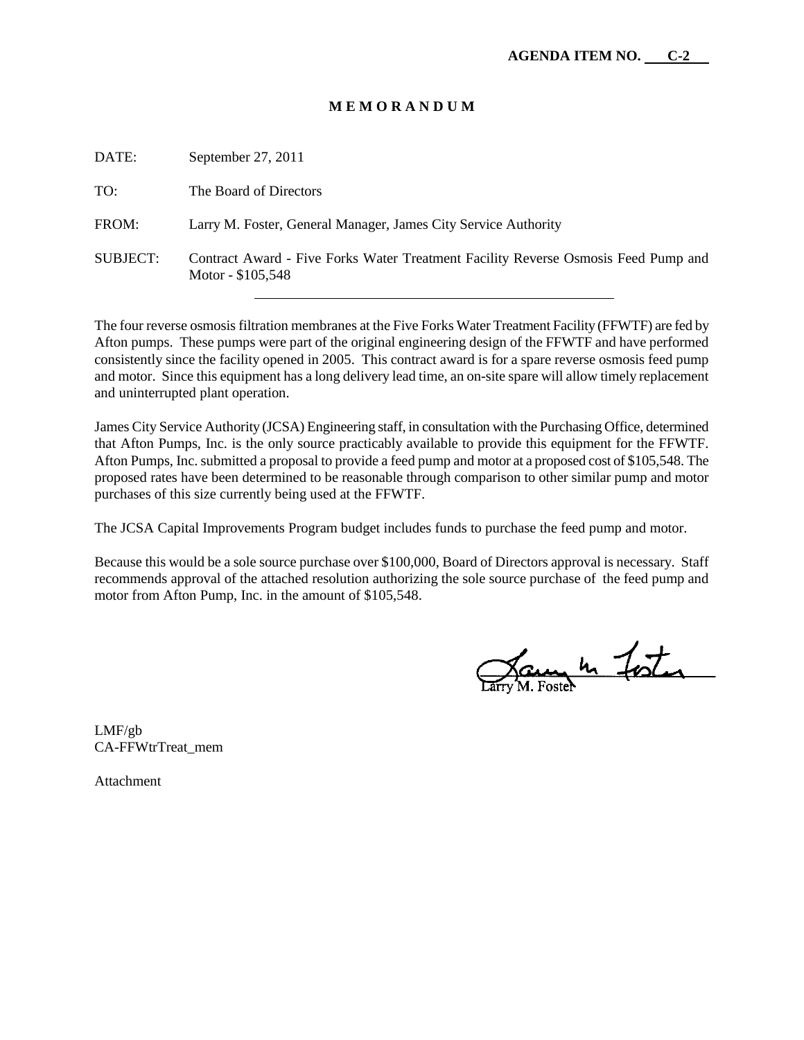#### **M E M O R A N D U M**

| DATE:           | September 27, $2011$                                                                                     |
|-----------------|----------------------------------------------------------------------------------------------------------|
| TO:             | The Board of Directors                                                                                   |
| FROM:           | Larry M. Foster, General Manager, James City Service Authority                                           |
| <b>SUBJECT:</b> | Contract Award - Five Forks Water Treatment Facility Reverse Osmosis Feed Pump and<br>Motor - $$105,548$ |

The four reverse osmosis filtration membranes at the Five Forks Water Treatment Facility (FFWTF) are fed by Afton pumps. These pumps were part of the original engineering design of the FFWTF and have performed consistently since the facility opened in 2005. This contract award is for a spare reverse osmosis feed pump and motor. Since this equipment has a long delivery lead time, an on-site spare will allow timely replacement and uninterrupted plant operation.

James City Service Authority (JCSA) Engineering staff, in consultation with the Purchasing Office, determined that Afton Pumps, Inc. is the only source practicably available to provide this equipment for the FFWTF. Afton Pumps, Inc. submitted a proposal to provide a feed pump and motor at a proposed cost of \$105,548. The proposed rates have been determined to be reasonable through comparison to other similar pump and motor purchases of this size currently being used at the FFWTF.

The JCSA Capital Improvements Program budget includes funds to purchase the feed pump and motor.

Because this would be a sole source purchase over \$100,000, Board of Directors approval is necessary. Staff recommends approval of the attached resolution authorizing the sole source purchase of the feed pump and motor from Afton Pump, Inc. in the amount of \$105,548.

James In Foster

LMF/gb CA-FFWtrTreat\_mem

Attachment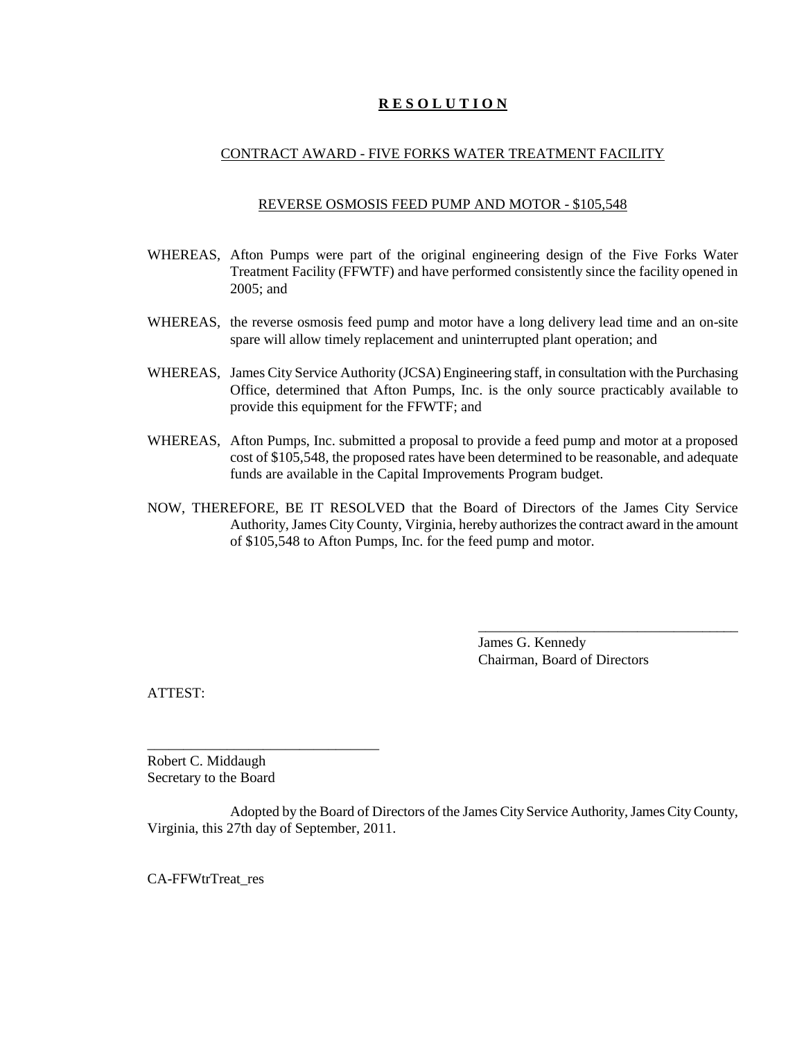# **R E S O L U T I O N**

#### CONTRACT AWARD - FIVE FORKS WATER TREATMENT FACILITY

#### REVERSE OSMOSIS FEED PUMP AND MOTOR - \$105,548

- WHEREAS, Afton Pumps were part of the original engineering design of the Five Forks Water Treatment Facility (FFWTF) and have performed consistently since the facility opened in 2005; and
- WHEREAS, the reverse osmosis feed pump and motor have a long delivery lead time and an on-site spare will allow timely replacement and uninterrupted plant operation; and
- WHEREAS, James City Service Authority (JCSA) Engineering staff, in consultation with the Purchasing Office, determined that Afton Pumps, Inc. is the only source practicably available to provide this equipment for the FFWTF; and
- WHEREAS, Afton Pumps, Inc. submitted a proposal to provide a feed pump and motor at a proposed cost of \$105,548, the proposed rates have been determined to be reasonable, and adequate funds are available in the Capital Improvements Program budget.
- NOW, THEREFORE, BE IT RESOLVED that the Board of Directors of the James City Service Authority, James City County, Virginia, hereby authorizes the contract award in the amount of \$105,548 to Afton Pumps, Inc. for the feed pump and motor.

James G. Kennedy Chairman, Board of Directors

\_\_\_\_\_\_\_\_\_\_\_\_\_\_\_\_\_\_\_\_\_\_\_\_\_\_\_\_\_\_\_\_\_\_\_\_

ATTEST:

Robert C. Middaugh Secretary to the Board

\_\_\_\_\_\_\_\_\_\_\_\_\_\_\_\_\_\_\_\_\_\_\_\_\_\_\_\_\_\_\_\_

Adopted by the Board of Directors of the James City Service Authority, James City County, Virginia, this 27th day of September, 2011.

CA-FFWtrTreat\_res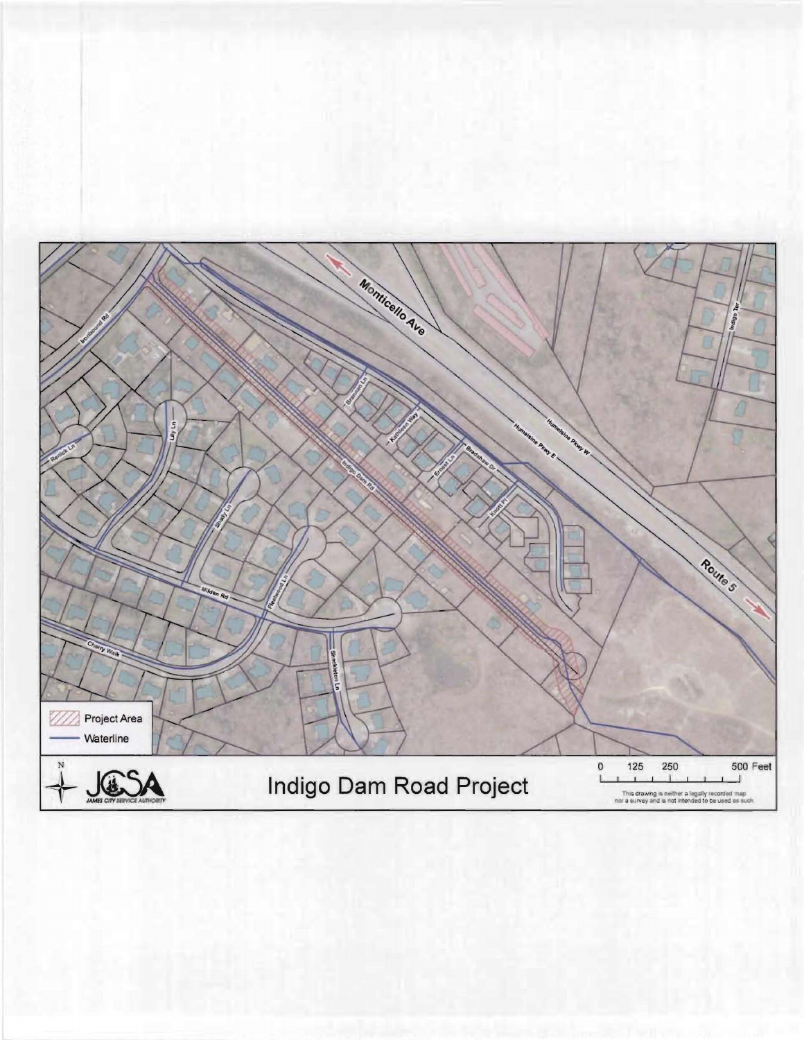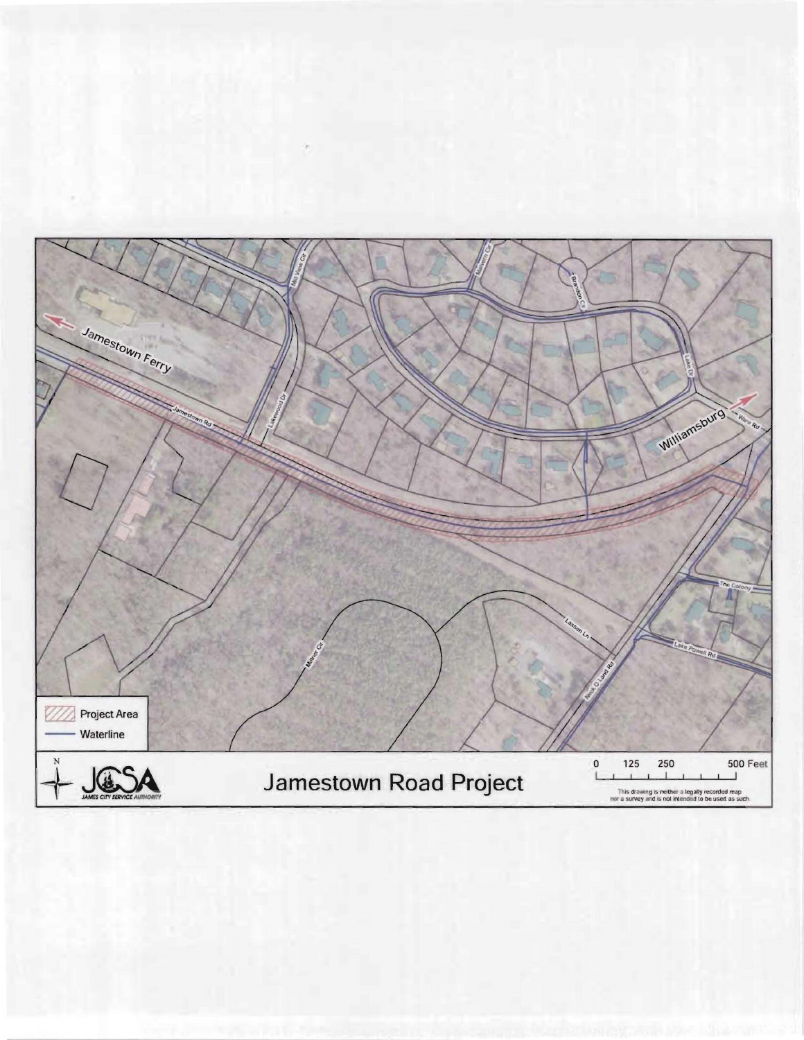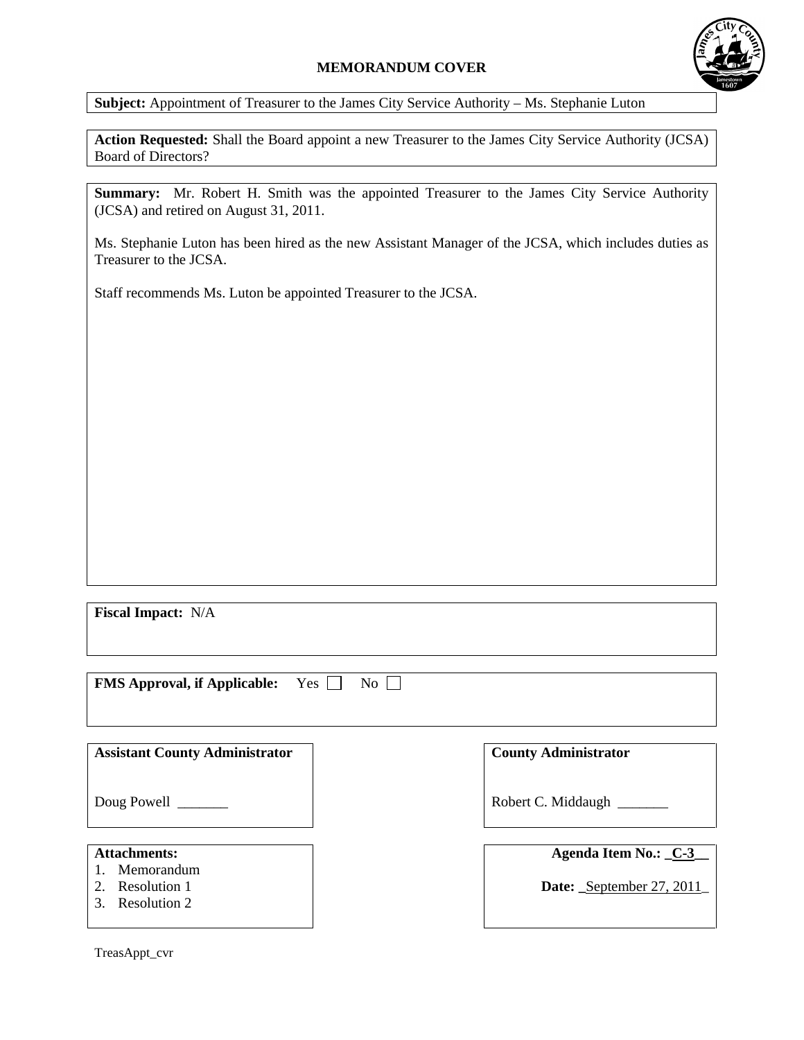# **MEMORANDUM COVER**



**Subject:** Appointment of Treasurer to the James City Service Authority – Ms. Stephanie Luton

**Action Requested:** Shall the Board appoint a new Treasurer to the James City Service Authority (JCSA) Board of Directors?

**Summary:** Mr. Robert H. Smith was the appointed Treasurer to the James City Service Authority (JCSA) and retired on August 31, 2011.

Ms. Stephanie Luton has been hired as the new Assistant Manager of the JCSA, which includes duties as Treasurer to the JCSA.

Staff recommends Ms. Luton be appointed Treasurer to the JCSA.

**Fiscal Impact:** N/A

| <b>FMS Approval, if Applicable:</b> Yes $\Box$ No $\Box$ |  |  |
|----------------------------------------------------------|--|--|
|----------------------------------------------------------|--|--|

| <b>Assistant County Administrator</b>                             | <b>County Administrator</b>                      |
|-------------------------------------------------------------------|--------------------------------------------------|
| Doug Powell                                                       | Robert C. Middaugh                               |
| <b>Attachments:</b><br>Memorandum<br>Resolution 1<br>Resolution 2 | Agenda Item No.: C-3<br>Date: September 27, 2011 |

TreasAppt\_cvr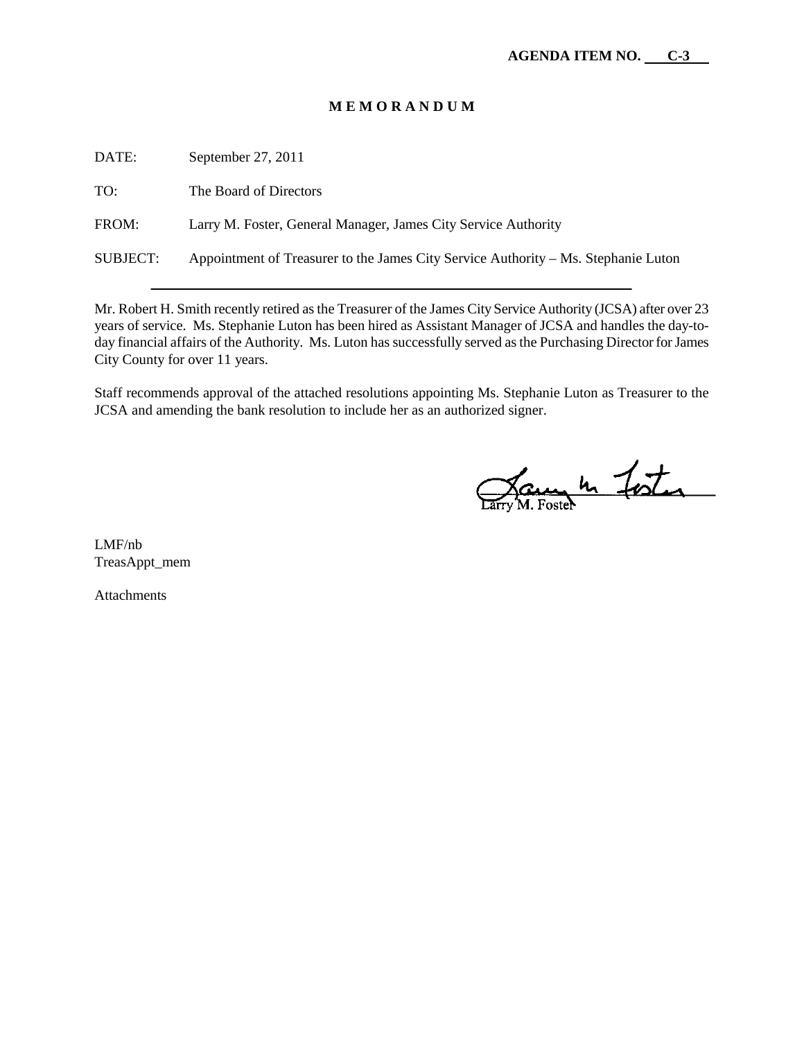#### **M E M O R A N D U M**

DATE: September 27, 2011 TO: The Board of Directors FROM: Larry M. Foster, General Manager, James City Service Authority SUBJECT: Appointment of Treasurer to the James City Service Authority – Ms. Stephanie Luton

Mr. Robert H. Smith recently retired as the Treasurer of the James City Service Authority (JCSA) after over 23 years of service. Ms. Stephanie Luton has been hired as Assistant Manager of JCSA and handles the day-today financial affairs of the Authority. Ms. Luton has successfully served as the Purchasing Director for James City County for over 11 years.

Staff recommends approval of the attached resolutions appointing Ms. Stephanie Luton as Treasurer to the JCSA and amending the bank resolution to include her as an authorized signer.

Jam h Foster

LMF/nb TreasAppt\_mem

**Attachments**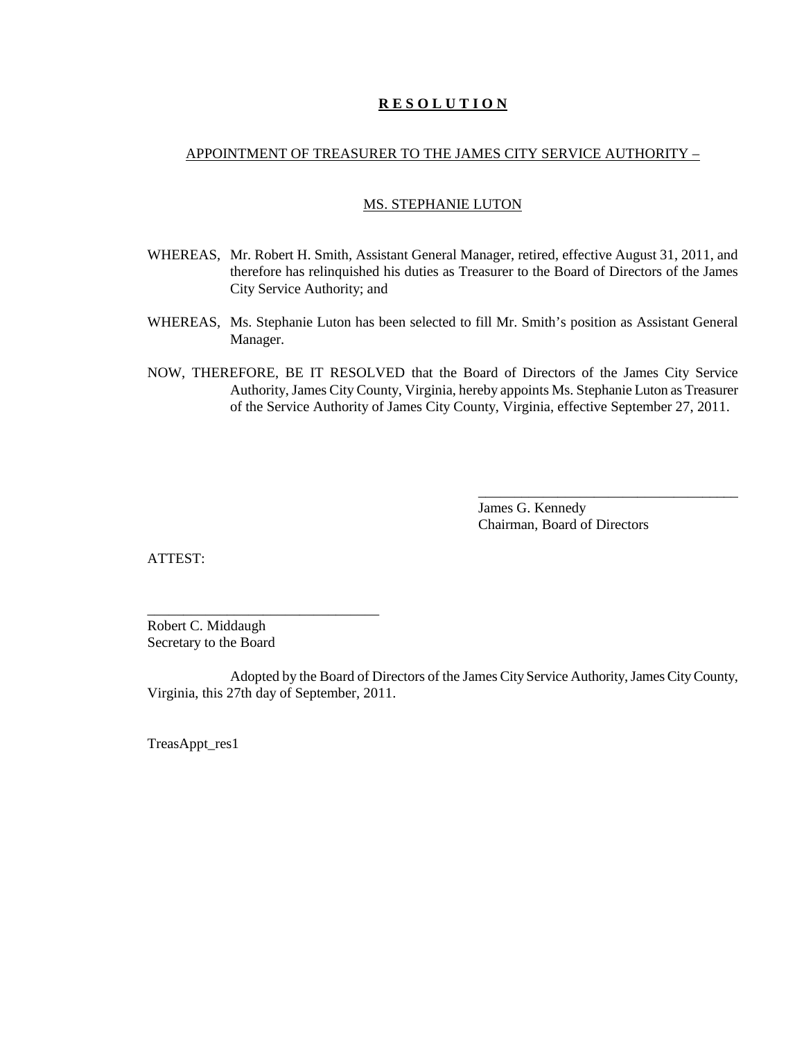## **R E S O L U T I O N**

#### APPOINTMENT OF TREASURER TO THE JAMES CITY SERVICE AUTHORITY –

#### MS. STEPHANIE LUTON

- WHEREAS, Mr. Robert H. Smith, Assistant General Manager, retired, effective August 31, 2011, and therefore has relinquished his duties as Treasurer to the Board of Directors of the James City Service Authority; and
- WHEREAS, Ms. Stephanie Luton has been selected to fill Mr. Smith's position as Assistant General Manager.
- NOW, THEREFORE, BE IT RESOLVED that the Board of Directors of the James City Service Authority, James City County, Virginia, hereby appoints Ms. Stephanie Luton as Treasurer of the Service Authority of James City County, Virginia, effective September 27, 2011.

James G. Kennedy Chairman, Board of Directors

\_\_\_\_\_\_\_\_\_\_\_\_\_\_\_\_\_\_\_\_\_\_\_\_\_\_\_\_\_\_\_\_\_\_\_\_

ATTEST:

Robert C. Middaugh Secretary to the Board

\_\_\_\_\_\_\_\_\_\_\_\_\_\_\_\_\_\_\_\_\_\_\_\_\_\_\_\_\_\_\_\_

Adopted by the Board of Directors of the James City Service Authority, James City County, Virginia, this 27th day of September, 2011.

TreasAppt\_res1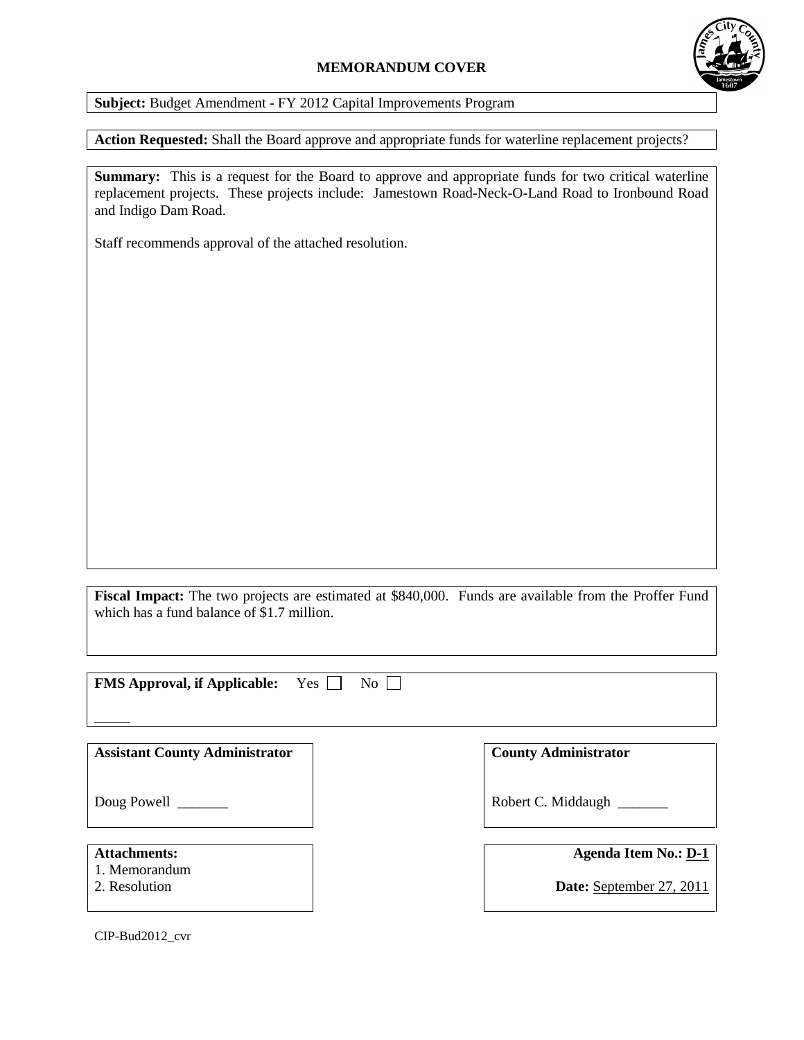# **MEMORANDUM COVER**



**Subject:** Budget Amendment - FY 2012 Capital Improvements Program

**Action Requested:** Shall the Board approve and appropriate funds for waterline replacement projects?

**Summary:** This is a request for the Board to approve and appropriate funds for two critical waterline replacement projects. These projects include: Jamestown Road-Neck-O-Land Road to Ironbound Road and Indigo Dam Road.

Staff recommends approval of the attached resolution.

**Fiscal Impact:** The two projects are estimated at \$840,000. Funds are available from the Proffer Fund which has a fund balance of \$1.7 million.

**FMS Approval, if Applicable:** Yes  $\Box$  No  $\Box$ 

| <b>Assistant County Administrator</b>                 | <b>County Administrator</b>                             |
|-------------------------------------------------------|---------------------------------------------------------|
| Doug Powell                                           | Robert C. Middaugh                                      |
| <b>Attachments:</b><br>1. Memorandum<br>2. Resolution | <b>Agenda Item No.: D-1</b><br>Date: September 27, 2011 |

CIP-Bud2012\_cvr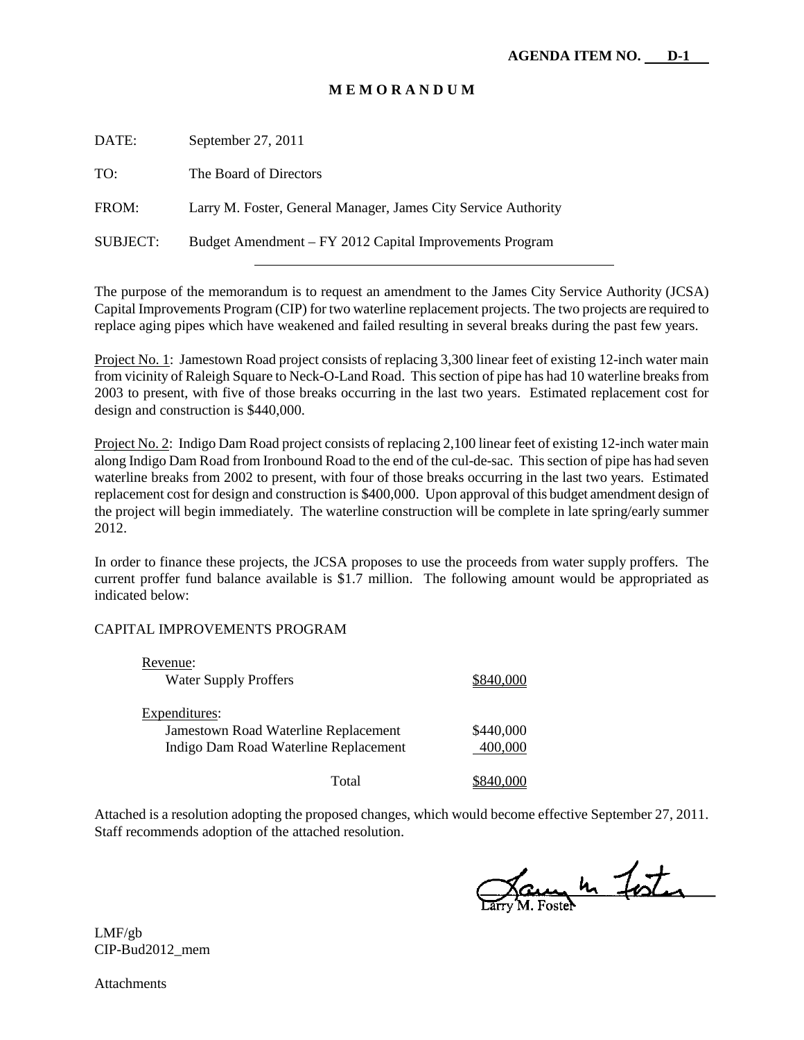#### **M E M O R A N D U M**

| DATE:           | September 27, 2011                                             |
|-----------------|----------------------------------------------------------------|
| TO:             | The Board of Directors                                         |
| FROM:           | Larry M. Foster, General Manager, James City Service Authority |
| <b>SUBJECT:</b> | Budget Amendment – FY 2012 Capital Improvements Program        |
|                 |                                                                |

The purpose of the memorandum is to request an amendment to the James City Service Authority (JCSA) Capital Improvements Program (CIP) for two waterline replacement projects. The two projects are required to replace aging pipes which have weakened and failed resulting in several breaks during the past few years.

Project No. 1: Jamestown Road project consists of replacing 3,300 linear feet of existing 12-inch water main from vicinity of Raleigh Square to Neck-O-Land Road. This section of pipe has had 10 waterline breaks from 2003 to present, with five of those breaks occurring in the last two years. Estimated replacement cost for design and construction is \$440,000.

Project No. 2: Indigo Dam Road project consists of replacing 2,100 linear feet of existing 12-inch water main along Indigo Dam Road from Ironbound Road to the end of the cul-de-sac. This section of pipe has had seven waterline breaks from 2002 to present, with four of those breaks occurring in the last two years. Estimated replacement cost for design and construction is \$400,000. Upon approval of this budget amendment design of the project will begin immediately. The waterline construction will be complete in late spring/early summer 2012.

In order to finance these projects, the JCSA proposes to use the proceeds from water supply proffers. The current proffer fund balance available is \$1.7 million. The following amount would be appropriated as indicated below:

#### CAPITAL IMPROVEMENTS PROGRAM

| Revenue:<br><b>Water Supply Proffers</b>                                                       | \$840.000            |
|------------------------------------------------------------------------------------------------|----------------------|
| Expenditures:<br>Jamestown Road Waterline Replacement<br>Indigo Dam Road Waterline Replacement | \$440,000<br>400,000 |
| Total                                                                                          |                      |

Attached is a resolution adopting the proposed changes, which would become effective September 27, 2011. Staff recommends adoption of the attached resolution.

Carry M. Foster

LMF/gb CIP-Bud2012\_mem

Attachments